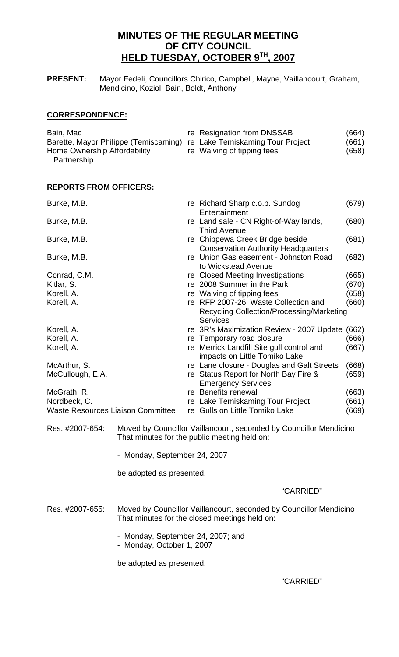# **MINUTES OF THE REGULAR MEETING OF CITY COUNCIL HELD TUESDAY, OCTOBER 9TH, 2007**

**PRESENT:** Mayor Fedeli, Councillors Chirico, Campbell, Mayne, Vaillancourt, Graham, Mendicino, Koziol, Bain, Boldt, Anthony

## **CORRESPONDENCE:**

| Bain, Mac                                                              | re Resignation from DNSSAB | (664) |  |
|------------------------------------------------------------------------|----------------------------|-------|--|
| Barette, Mayor Philippe (Temiscaming) re Lake Temiskaming Tour Project |                            | (661) |  |
| Home Ownership Affordability                                           | re Waiving of tipping fees | (658) |  |
| Partnership                                                            |                            |       |  |

## **REPORTS FROM OFFICERS:**

| Burke, M.B.                              |    | re Richard Sharp c.o.b. Sundog<br>Entertainment                                                                    | (679) |
|------------------------------------------|----|--------------------------------------------------------------------------------------------------------------------|-------|
| Burke, M.B.                              |    | re Land sale - CN Right-of-Way lands,<br><b>Third Avenue</b>                                                       | (680) |
| Burke, M.B.                              |    | re Chippewa Creek Bridge beside<br><b>Conservation Authority Headquarters</b>                                      | (681) |
| Burke, M.B.                              |    | re Union Gas easement - Johnston Road<br>to Wickstead Avenue                                                       | (682) |
| Conrad, C.M.                             |    | re Closed Meeting Investigations                                                                                   | (665) |
| Kitlar, S.                               |    | re 2008 Summer in the Park                                                                                         | (670) |
| Korell, A.                               |    | re Waiving of tipping fees                                                                                         | (658) |
| Korell, A.                               |    | re RFP 2007-26, Waste Collection and                                                                               | (660) |
|                                          |    | Recycling Collection/Processing/Marketing<br><b>Services</b>                                                       |       |
| Korell, A.                               |    | re 3R's Maximization Review - 2007 Update                                                                          | (662) |
| Korell, A.                               |    | re Temporary road closure                                                                                          | (666) |
| Korell, A.                               |    | re Merrick Landfill Site gull control and<br>impacts on Little Tomiko Lake                                         | (667) |
| McArthur, S.                             |    | re Lane closure - Douglas and Galt Streets                                                                         | (668) |
| McCullough, E.A.                         |    | re Status Report for North Bay Fire &<br><b>Emergency Services</b>                                                 | (659) |
| McGrath, R.                              |    | re Benefits renewal                                                                                                | (663) |
| Nordbeck, C.                             |    | re Lake Temiskaming Tour Project                                                                                   | (661) |
| <b>Waste Resources Liaison Committee</b> | re | <b>Gulls on Little Tomiko Lake</b>                                                                                 | (669) |
| Res. #2007-654:                          |    | Moved by Councillor Vaillancourt, seconded by Councillor Mendicino<br>That minutes for the public meeting held on: |       |

- Monday, September 24, 2007

be adopted as presented.

## "CARRIED"

- Res. #2007-655: Moved by Councillor Vaillancourt, seconded by Councillor Mendicino That minutes for the closed meetings held on:
	- Monday, September 24, 2007; and
	- Monday, October 1, 2007

be adopted as presented.

## "CARRIED"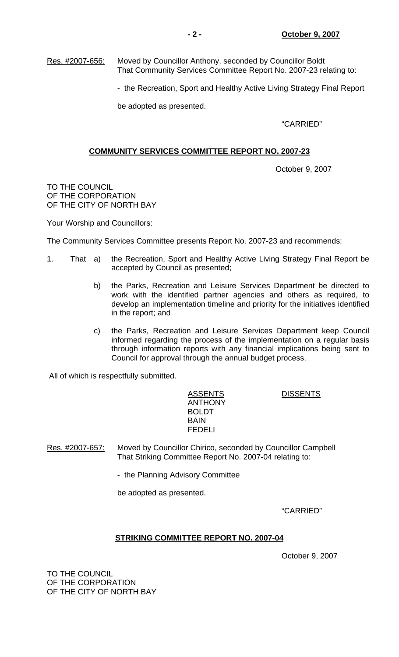Res. #2007-656: Moved by Councillor Anthony, seconded by Councillor Boldt That Community Services Committee Report No. 2007-23 relating to:

- the Recreation, Sport and Healthy Active Living Strategy Final Report

be adopted as presented.

"CARRIED"

## **COMMUNITY SERVICES COMMITTEE REPORT NO. 2007-23**

October 9, 2007

TO THE COUNCIL OF THE CORPORATION OF THE CITY OF NORTH BAY

Your Worship and Councillors:

The Community Services Committee presents Report No. 2007-23 and recommends:

- 1. That a) the Recreation, Sport and Healthy Active Living Strategy Final Report be accepted by Council as presented;
	- b) the Parks, Recreation and Leisure Services Department be directed to work with the identified partner agencies and others as required, to develop an implementation timeline and priority for the initiatives identified in the report; and
	- c) the Parks, Recreation and Leisure Services Department keep Council informed regarding the process of the implementation on a regular basis through information reports with any financial implications being sent to Council for approval through the annual budget process.

All of which is respectfully submitted.

ASSENTS DISSENTS ANTHONY BOLDT **BAIN BAIN** FEDELI

Res. #2007-657: Moved by Councillor Chirico, seconded by Councillor Campbell That Striking Committee Report No. 2007-04 relating to:

- the Planning Advisory Committee

be adopted as presented.

"CARRIED"

## **STRIKING COMMITTEE REPORT NO. 2007-04**

October 9, 2007

TO THE COUNCIL OF THE CORPORATION OF THE CITY OF NORTH BAY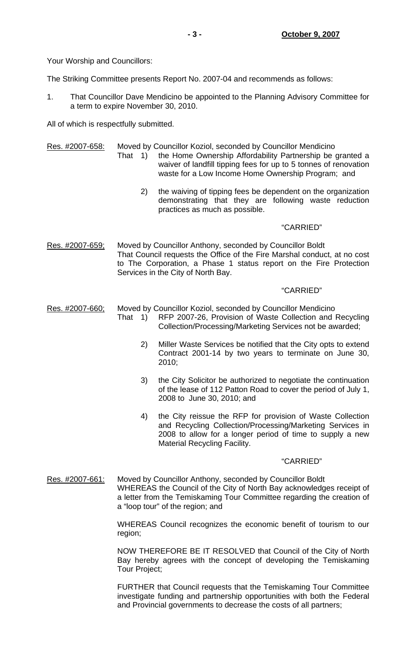Your Worship and Councillors:

The Striking Committee presents Report No. 2007-04 and recommends as follows:

1. That Councillor Dave Mendicino be appointed to the Planning Advisory Committee for a term to expire November 30, 2010.

All of which is respectfully submitted.

Res. #2007-658: Moved by Councillor Koziol, seconded by Councillor Mendicino

- That 1) the Home Ownership Affordability Partnership be granted a waiver of landfill tipping fees for up to 5 tonnes of renovation waste for a Low Income Home Ownership Program; and
	- 2) the waiving of tipping fees be dependent on the organization demonstrating that they are following waste reduction practices as much as possible.

## "CARRIED"

Res. #2007-659; Moved by Councillor Anthony, seconded by Councillor Boldt That Council requests the Office of the Fire Marshal conduct, at no cost to The Corporation, a Phase 1 status report on the Fire Protection Services in the City of North Bay.

## "CARRIED"

Res. #2007-660; Moved by Councillor Koziol, seconded by Councillor Mendicino

- That 1) RFP 2007-26, Provision of Waste Collection and Recycling Collection/Processing/Marketing Services not be awarded;
	- 2) Miller Waste Services be notified that the City opts to extend Contract 2001-14 by two years to terminate on June 30, 2010;
	- 3) the City Solicitor be authorized to negotiate the continuation of the lease of 112 Patton Road to cover the period of July 1, 2008 to June 30, 2010; and
	- 4) the City reissue the RFP for provision of Waste Collection and Recycling Collection/Processing/Marketing Services in 2008 to allow for a longer period of time to supply a new Material Recycling Facility.

## "CARRIED"

Res. #2007-661: Moved by Councillor Anthony, seconded by Councillor Boldt WHEREAS the Council of the City of North Bay acknowledges receipt of a letter from the Temiskaming Tour Committee regarding the creation of a "loop tour" of the region; and

> WHEREAS Council recognizes the economic benefit of tourism to our region;

> NOW THEREFORE BE IT RESOLVED that Council of the City of North Bay hereby agrees with the concept of developing the Temiskaming Tour Project;

> FURTHER that Council requests that the Temiskaming Tour Committee investigate funding and partnership opportunities with both the Federal and Provincial governments to decrease the costs of all partners;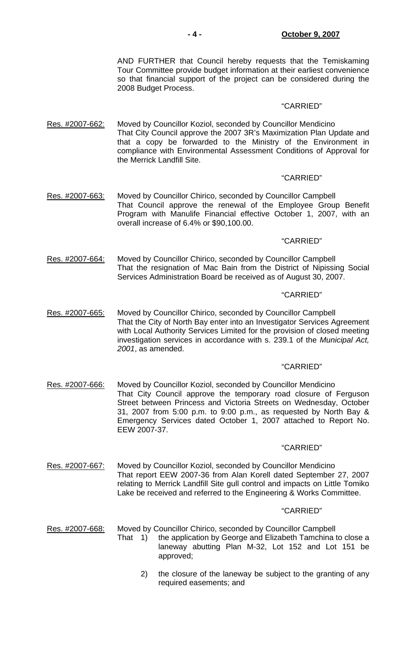AND FURTHER that Council hereby requests that the Temiskaming Tour Committee provide budget information at their earliest convenience so that financial support of the project can be considered during the 2008 Budget Process.

#### "CARRIED"

Res. #2007-662: Moved by Councillor Koziol, seconded by Councillor Mendicino That City Council approve the 2007 3R's Maximization Plan Update and that a copy be forwarded to the Ministry of the Environment in compliance with Environmental Assessment Conditions of Approval for the Merrick Landfill Site.

## "CARRIED"

Res. #2007-663: Moved by Councillor Chirico, seconded by Councillor Campbell That Council approve the renewal of the Employee Group Benefit Program with Manulife Financial effective October 1, 2007, with an overall increase of 6.4% or \$90,100.00.

"CARRIED"

Res. #2007-664: Moved by Councillor Chirico, seconded by Councillor Campbell That the resignation of Mac Bain from the District of Nipissing Social Services Administration Board be received as of August 30, 2007.

#### "CARRIED"

Res. #2007-665: Moved by Councillor Chirico, seconded by Councillor Campbell That the City of North Bay enter into an Investigator Services Agreement with Local Authority Services Limited for the provision of closed meeting investigation services in accordance with s. 239.1 of the *Municipal Act, 2001*, as amended.

## "CARRIED"

Res. #2007-666: Moved by Councillor Koziol, seconded by Councillor Mendicino That City Council approve the temporary road closure of Ferguson Street between Princess and Victoria Streets on Wednesday, October 31, 2007 from 5:00 p.m. to 9:00 p.m., as requested by North Bay & Emergency Services dated October 1, 2007 attached to Report No. EEW 2007-37.

#### "CARRIED"

Res. #2007-667: Moved by Councillor Koziol, seconded by Councillor Mendicino That report EEW 2007-36 from Alan Korell dated September 27, 2007 relating to Merrick Landfill Site gull control and impacts on Little Tomiko Lake be received and referred to the Engineering & Works Committee.

#### "CARRIED"

Res. #2007-668: Moved by Councillor Chirico, seconded by Councillor Campbell

- That 1) the application by George and Elizabeth Tamchina to close a laneway abutting Plan M-32, Lot 152 and Lot 151 be approved;
	- 2) the closure of the laneway be subject to the granting of any required easements; and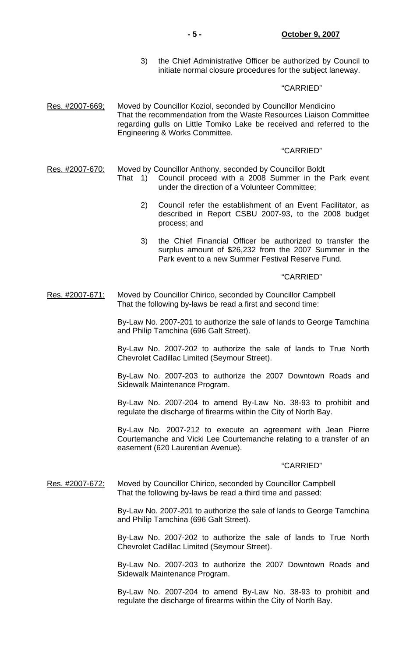3) the Chief Administrative Officer be authorized by Council to initiate normal closure procedures for the subject laneway.

## "CARRIED"

Res. #2007-669; Moved by Councillor Koziol, seconded by Councillor Mendicino That the recommendation from the Waste Resources Liaison Committee regarding gulls on Little Tomiko Lake be received and referred to the Engineering & Works Committee.

#### "CARRIED"

Res. #2007-670: Moved by Councillor Anthony, seconded by Councillor Boldt

- That 1) Council proceed with a 2008 Summer in the Park event under the direction of a Volunteer Committee;
	- 2) Council refer the establishment of an Event Facilitator, as described in Report CSBU 2007-93, to the 2008 budget process; and
	- 3) the Chief Financial Officer be authorized to transfer the surplus amount of \$26,232 from the 2007 Summer in the Park event to a new Summer Festival Reserve Fund.

#### "CARRIED"

Res. #2007-671: Moved by Councillor Chirico, seconded by Councillor Campbell That the following by-laws be read a first and second time:

> By-Law No. 2007-201 to authorize the sale of lands to George Tamchina and Philip Tamchina (696 Galt Street).

> By-Law No. 2007-202 to authorize the sale of lands to True North Chevrolet Cadillac Limited (Seymour Street).

> By-Law No. 2007-203 to authorize the 2007 Downtown Roads and Sidewalk Maintenance Program.

> By-Law No. 2007-204 to amend By-Law No. 38-93 to prohibit and regulate the discharge of firearms within the City of North Bay.

> By-Law No. 2007-212 to execute an agreement with Jean Pierre Courtemanche and Vicki Lee Courtemanche relating to a transfer of an easement (620 Laurentian Avenue).

#### "CARRIED"

Res. #2007-672: Moved by Councillor Chirico, seconded by Councillor Campbell That the following by-laws be read a third time and passed:

> By-Law No. 2007-201 to authorize the sale of lands to George Tamchina and Philip Tamchina (696 Galt Street).

> By-Law No. 2007-202 to authorize the sale of lands to True North Chevrolet Cadillac Limited (Seymour Street).

> By-Law No. 2007-203 to authorize the 2007 Downtown Roads and Sidewalk Maintenance Program.

> By-Law No. 2007-204 to amend By-Law No. 38-93 to prohibit and regulate the discharge of firearms within the City of North Bay.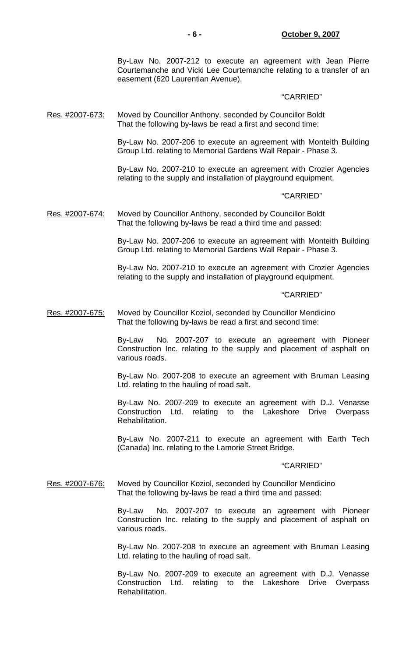By-Law No. 2007-212 to execute an agreement with Jean Pierre Courtemanche and Vicki Lee Courtemanche relating to a transfer of an easement (620 Laurentian Avenue).

#### "CARRIED"

## Res. #2007-673: Moved by Councillor Anthony, seconded by Councillor Boldt That the following by-laws be read a first and second time:

By-Law No. 2007-206 to execute an agreement with Monteith Building Group Ltd. relating to Memorial Gardens Wall Repair - Phase 3.

By-Law No. 2007-210 to execute an agreement with Crozier Agencies relating to the supply and installation of playground equipment.

#### "CARRIED"

Res. #2007-674: Moved by Councillor Anthony, seconded by Councillor Boldt That the following by-laws be read a third time and passed:

> By-Law No. 2007-206 to execute an agreement with Monteith Building Group Ltd. relating to Memorial Gardens Wall Repair - Phase 3.

> By-Law No. 2007-210 to execute an agreement with Crozier Agencies relating to the supply and installation of playground equipment.

#### "CARRIED"

## Res. #2007-675: Moved by Councillor Koziol, seconded by Councillor Mendicino That the following by-laws be read a first and second time:

By-Law No. 2007-207 to execute an agreement with Pioneer Construction Inc. relating to the supply and placement of asphalt on various roads.

By-Law No. 2007-208 to execute an agreement with Bruman Leasing Ltd. relating to the hauling of road salt.

By-Law No. 2007-209 to execute an agreement with D.J. Venasse Construction Ltd. relating to the Lakeshore Drive Overpass Rehabilitation.

By-Law No. 2007-211 to execute an agreement with Earth Tech (Canada) Inc. relating to the Lamorie Street Bridge.

#### "CARRIED"

## Res. #2007-676: Moved by Councillor Koziol, seconded by Councillor Mendicino That the following by-laws be read a third time and passed:

By-Law No. 2007-207 to execute an agreement with Pioneer Construction Inc. relating to the supply and placement of asphalt on various roads.

By-Law No. 2007-208 to execute an agreement with Bruman Leasing Ltd. relating to the hauling of road salt.

By-Law No. 2007-209 to execute an agreement with D.J. Venasse Construction Ltd. relating to the Lakeshore Drive Overpass Rehabilitation.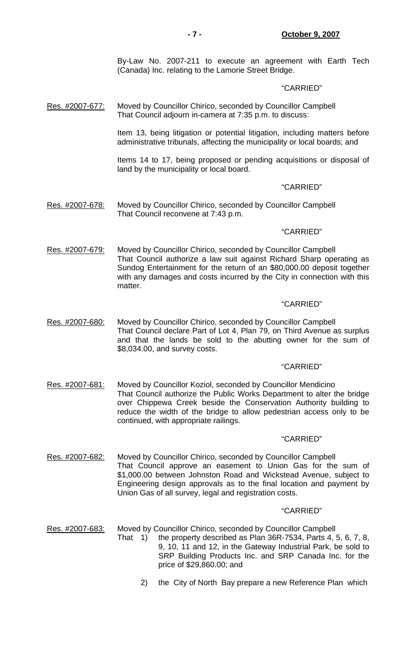By-Law No. 2007-211 to execute an agreement with Earth Tech (Canada) Inc. relating to the Lamorie Street Bridge.

### "CARRIED"

Res. #2007-677: Moved by Councillor Chirico, seconded by Councillor Campbell That Council adjourn in-camera at 7:35 p.m. to discuss:

> Item 13, being litigation or potential litigation, including matters before administrative tribunals, affecting the municipality or local boards; and

> Items 14 to 17, being proposed or pending acquisitions or disposal of land by the municipality or local board.

## "CARRIED"

Res. #2007-678: Moved by Councillor Chirico, seconded by Councillor Campbell That Council reconvene at 7:43 p.m.

## "CARRIED"

Res. #2007-679: Moved by Councillor Chirico, seconded by Councillor Campbell That Council authorize a law suit against Richard Sharp operating as Sundog Entertainment for the return of an \$80,000.00 deposit together with any damages and costs incurred by the City in connection with this matter.

### "CARRIED"

Res. #2007-680: Moved by Councillor Chirico, seconded by Councillor Campbell That Council declare Part of Lot 4, Plan 79, on Third Avenue as surplus and that the lands be sold to the abutting owner for the sum of \$8,034.00, and survey costs.

## "CARRIED"

Res. #2007-681: Moved by Councillor Koziol, seconded by Councillor Mendicino That Council authorize the Public Works Department to alter the bridge over Chippewa Creek beside the Conservation Authority building to reduce the width of the bridge to allow pedestrian access only to be continued, with appropriate railings.

#### "CARRIED"

Res. #2007-682: Moved by Councillor Chirico, seconded by Councillor Campbell That Council approve an easement to Union Gas for the sum of \$1,000.00 between Johnston Road and Wickstead Avenue, subject to Engineering design approvals as to the final location and payment by Union Gas of all survey, legal and registration costs.

#### "CARRIED"

Res. #2007-683: Moved by Councillor Chirico, seconded by Councillor Campbell

- That 1) the property described as Plan 36R-7534, Parts 4, 5, 6, 7, 8, 9, 10, 11 and 12, in the Gateway Industrial Park, be sold to SRP Building Products Inc. and SRP Canada Inc. for the price of \$29,860.00; and
	- 2) the City of North Bay prepare a new Reference Plan which